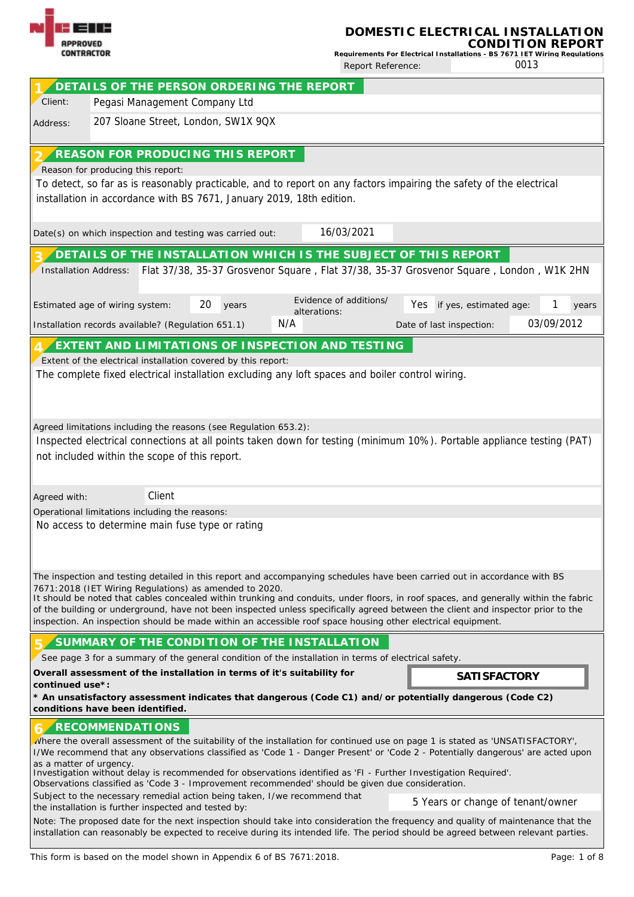| ---<br><b>APPROVED</b>                                                                                                                                                                                                                                                                                                                                                                                                                                                                                                                                                          |                                   |        |                                                                                                                                                                                                                                                                                                                                                                                                                                                                                                                                                                                                                                                                                                                                                                                                                                                                                                          |              | DOMESTIC ELECTRICAL INSTALLATION<br>Requirements For Electrical Installations - BS 7671 IET Wiring Requlations<br>0013<br>Report Reference: |                          |                                   |            |  |  |  |  |  |  |
|---------------------------------------------------------------------------------------------------------------------------------------------------------------------------------------------------------------------------------------------------------------------------------------------------------------------------------------------------------------------------------------------------------------------------------------------------------------------------------------------------------------------------------------------------------------------------------|-----------------------------------|--------|----------------------------------------------------------------------------------------------------------------------------------------------------------------------------------------------------------------------------------------------------------------------------------------------------------------------------------------------------------------------------------------------------------------------------------------------------------------------------------------------------------------------------------------------------------------------------------------------------------------------------------------------------------------------------------------------------------------------------------------------------------------------------------------------------------------------------------------------------------------------------------------------------------|--------------|---------------------------------------------------------------------------------------------------------------------------------------------|--------------------------|-----------------------------------|------------|--|--|--|--|--|--|
| <b>CONTRACTOR</b>                                                                                                                                                                                                                                                                                                                                                                                                                                                                                                                                                               |                                   |        |                                                                                                                                                                                                                                                                                                                                                                                                                                                                                                                                                                                                                                                                                                                                                                                                                                                                                                          |              |                                                                                                                                             |                          |                                   |            |  |  |  |  |  |  |
|                                                                                                                                                                                                                                                                                                                                                                                                                                                                                                                                                                                 |                                   |        | DETAILS OF THE PERSON ORDERING THE REPORT                                                                                                                                                                                                                                                                                                                                                                                                                                                                                                                                                                                                                                                                                                                                                                                                                                                                |              |                                                                                                                                             |                          |                                   |            |  |  |  |  |  |  |
| Client:                                                                                                                                                                                                                                                                                                                                                                                                                                                                                                                                                                         |                                   |        | Pegasi Management Company Ltd                                                                                                                                                                                                                                                                                                                                                                                                                                                                                                                                                                                                                                                                                                                                                                                                                                                                            |              |                                                                                                                                             |                          |                                   |            |  |  |  |  |  |  |
| Address:                                                                                                                                                                                                                                                                                                                                                                                                                                                                                                                                                                        |                                   |        | 207 Sloane Street, London, SW1X 9QX                                                                                                                                                                                                                                                                                                                                                                                                                                                                                                                                                                                                                                                                                                                                                                                                                                                                      |              |                                                                                                                                             |                          |                                   |            |  |  |  |  |  |  |
|                                                                                                                                                                                                                                                                                                                                                                                                                                                                                                                                                                                 |                                   |        | REASON FOR PRODUCING THIS REPORT                                                                                                                                                                                                                                                                                                                                                                                                                                                                                                                                                                                                                                                                                                                                                                                                                                                                         |              |                                                                                                                                             |                          |                                   |            |  |  |  |  |  |  |
|                                                                                                                                                                                                                                                                                                                                                                                                                                                                                                                                                                                 | Reason for producing this report: |        | To detect, so far as is reasonably practicable, and to report on any factors impairing the safety of the electrical<br>installation in accordance with BS 7671, January 2019, 18th edition.                                                                                                                                                                                                                                                                                                                                                                                                                                                                                                                                                                                                                                                                                                              |              |                                                                                                                                             |                          |                                   |            |  |  |  |  |  |  |
|                                                                                                                                                                                                                                                                                                                                                                                                                                                                                                                                                                                 |                                   |        | Date(s) on which inspection and testing was carried out:                                                                                                                                                                                                                                                                                                                                                                                                                                                                                                                                                                                                                                                                                                                                                                                                                                                 |              | 16/03/2021                                                                                                                                  |                          |                                   |            |  |  |  |  |  |  |
|                                                                                                                                                                                                                                                                                                                                                                                                                                                                                                                                                                                 |                                   |        | DETAILS OF THE INSTALLATION WHICH IS THE SUBJECT OF THIS REPORT                                                                                                                                                                                                                                                                                                                                                                                                                                                                                                                                                                                                                                                                                                                                                                                                                                          |              |                                                                                                                                             |                          |                                   |            |  |  |  |  |  |  |
| <b>Installation Address:</b>                                                                                                                                                                                                                                                                                                                                                                                                                                                                                                                                                    |                                   |        | Flat 37/38, 35-37 Grosvenor Square, Flat 37/38, 35-37 Grosvenor Square, London, W1K 2HN                                                                                                                                                                                                                                                                                                                                                                                                                                                                                                                                                                                                                                                                                                                                                                                                                  |              |                                                                                                                                             |                          |                                   |            |  |  |  |  |  |  |
| Estimated age of wiring system:                                                                                                                                                                                                                                                                                                                                                                                                                                                                                                                                                 |                                   |        | 20<br>years                                                                                                                                                                                                                                                                                                                                                                                                                                                                                                                                                                                                                                                                                                                                                                                                                                                                                              | alterations: | Evidence of additions/                                                                                                                      | Yes                      | if yes, estimated age:            | years      |  |  |  |  |  |  |
| Installation records available? (Regulation 651.1)                                                                                                                                                                                                                                                                                                                                                                                                                                                                                                                              |                                   |        |                                                                                                                                                                                                                                                                                                                                                                                                                                                                                                                                                                                                                                                                                                                                                                                                                                                                                                          | N/A          |                                                                                                                                             | Date of last inspection: |                                   | 03/09/2012 |  |  |  |  |  |  |
| not included within the scope of this report.                                                                                                                                                                                                                                                                                                                                                                                                                                                                                                                                   |                                   |        | The complete fixed electrical installation excluding any loft spaces and boiler control wiring.<br>Agreed limitations including the reasons (see Regulation 653.2):<br>Inspected electrical connections at all points taken down for testing (minimum 10%). Portable appliance testing (PAT)                                                                                                                                                                                                                                                                                                                                                                                                                                                                                                                                                                                                             |              |                                                                                                                                             |                          |                                   |            |  |  |  |  |  |  |
| Agreed with:<br>Operational limitations including the reasons:                                                                                                                                                                                                                                                                                                                                                                                                                                                                                                                  |                                   | Client |                                                                                                                                                                                                                                                                                                                                                                                                                                                                                                                                                                                                                                                                                                                                                                                                                                                                                                          |              |                                                                                                                                             |                          |                                   |            |  |  |  |  |  |  |
|                                                                                                                                                                                                                                                                                                                                                                                                                                                                                                                                                                                 |                                   |        | No access to determine main fuse type or rating                                                                                                                                                                                                                                                                                                                                                                                                                                                                                                                                                                                                                                                                                                                                                                                                                                                          |              |                                                                                                                                             |                          |                                   |            |  |  |  |  |  |  |
| The inspection and testing detailed in this report and accompanying schedules have been carried out in accordance with BS<br>7671:2018 (IET Wiring Regulations) as amended to 2020.<br>It should be noted that cables concealed within trunking and conduits, under floors, in roof spaces, and generally within the fabric<br>of the building or underground, have not been inspected unless specifically agreed between the client and inspector prior to the<br>inspection. An inspection should be made within an accessible roof space housing other electrical equipment. |                                   |        |                                                                                                                                                                                                                                                                                                                                                                                                                                                                                                                                                                                                                                                                                                                                                                                                                                                                                                          |              |                                                                                                                                             |                          |                                   |            |  |  |  |  |  |  |
|                                                                                                                                                                                                                                                                                                                                                                                                                                                                                                                                                                                 |                                   |        | SUMMARY OF THE CONDITION OF THE INSTALLATION<br>See page 3 for a summary of the general condition of the installation in terms of electrical safety.                                                                                                                                                                                                                                                                                                                                                                                                                                                                                                                                                                                                                                                                                                                                                     |              |                                                                                                                                             |                          |                                   |            |  |  |  |  |  |  |
|                                                                                                                                                                                                                                                                                                                                                                                                                                                                                                                                                                                 |                                   |        | Overall assessment of the installation in terms of it's suitability for                                                                                                                                                                                                                                                                                                                                                                                                                                                                                                                                                                                                                                                                                                                                                                                                                                  |              |                                                                                                                                             |                          | <b>SATI SFACTORY</b>              |            |  |  |  |  |  |  |
| continued use*:                                                                                                                                                                                                                                                                                                                                                                                                                                                                                                                                                                 |                                   |        | * An unsatisfactory assessment indicates that dangerous (Code C1) and/or potentially dangerous (Code C2)                                                                                                                                                                                                                                                                                                                                                                                                                                                                                                                                                                                                                                                                                                                                                                                                 |              |                                                                                                                                             |                          |                                   |            |  |  |  |  |  |  |
| conditions have been identified.<br>as a matter of urgency.                                                                                                                                                                                                                                                                                                                                                                                                                                                                                                                     | <b>RECOMMENDATIONS</b>            |        | where the overall assessment of the suitability of the installation for continued use on page 1 is stated as 'UNSATISFACTORY',<br>I/We recommend that any observations classified as 'Code 1 - Danger Present' or 'Code 2 - Potentially dangerous' are acted upon<br>Investigation without delay is recommended for observations identified as 'FI - Further Investigation Required'.<br>Observations classified as 'Code 3 - Improvement recommended' should be given due consideration.<br>Subject to the necessary remedial action being taken, I/we recommend that<br>the installation is further inspected and tested by:<br>Note: The proposed date for the next inspection should take into consideration the frequency and quality of maintenance that the<br>installation can reasonably be expected to receive during its intended life. The period should be agreed between relevant parties. |              |                                                                                                                                             |                          | 5 Years or change of tenant/owner |            |  |  |  |  |  |  |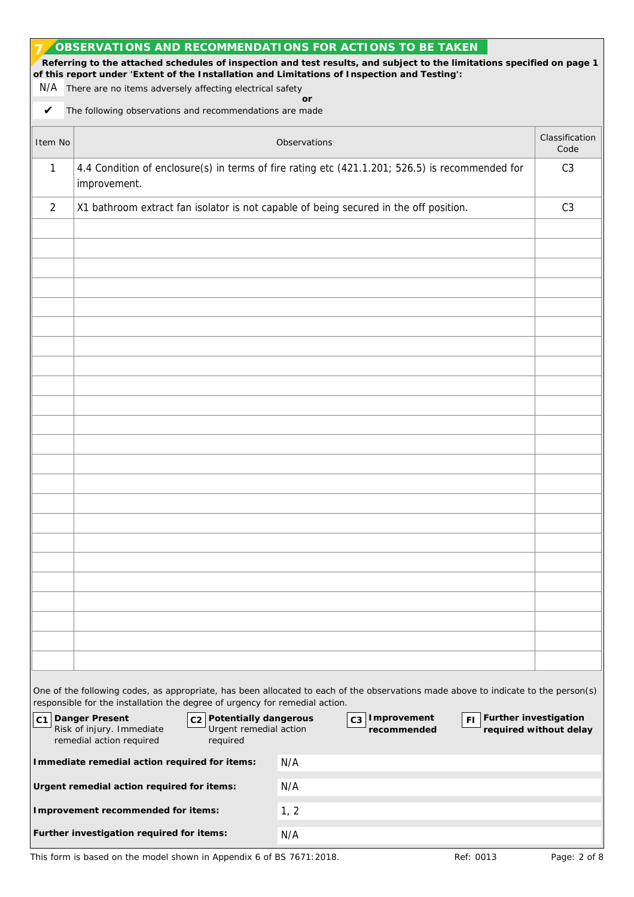|         | OBSERVATIONS AND RECOMMENDATIONS FOR ACTIONS TO BE TAKEN<br>of this report under 'Extent of the Installation and Limitations of Inspection and Testing':<br>N/A There are no items adversely affecting electrical safety | Referring to the attached schedules of inspection and test results, and subject to the limitations specified on page 1             |                        |
|---------|--------------------------------------------------------------------------------------------------------------------------------------------------------------------------------------------------------------------------|------------------------------------------------------------------------------------------------------------------------------------|------------------------|
| V       | The following observations and recommendations are made                                                                                                                                                                  | or                                                                                                                                 |                        |
| Item No |                                                                                                                                                                                                                          | Observations                                                                                                                       | Classification<br>Code |
| 1       | improvement.                                                                                                                                                                                                             | 4.4 Condition of enclosure(s) in terms of fire rating etc (421.1.201; 526.5) is recommended for                                    | C <sub>3</sub>         |
| 2       | X1 bathroom extract fan isolator is not capable of being secured in the off position.                                                                                                                                    |                                                                                                                                    | C <sub>3</sub>         |
|         |                                                                                                                                                                                                                          |                                                                                                                                    |                        |
|         |                                                                                                                                                                                                                          |                                                                                                                                    |                        |
|         |                                                                                                                                                                                                                          |                                                                                                                                    |                        |
|         |                                                                                                                                                                                                                          |                                                                                                                                    |                        |
|         |                                                                                                                                                                                                                          |                                                                                                                                    |                        |
|         |                                                                                                                                                                                                                          |                                                                                                                                    |                        |
|         |                                                                                                                                                                                                                          |                                                                                                                                    |                        |
|         |                                                                                                                                                                                                                          |                                                                                                                                    |                        |
|         |                                                                                                                                                                                                                          |                                                                                                                                    |                        |
|         | responsible for the installation the degree of urgency for remedial action.                                                                                                                                              | One of the following codes, as appropriate, has been allocated to each of the observations made above to indicate to the person(s) |                        |
|         | C1 Danger Present<br>c <sub>2</sub> Potentially dangerous<br>Risk of injury. Immediate<br>Urgent remedial action<br>remedial action required<br>required                                                                 | FI Further investigation<br>C <sub>3</sub> Improvement<br>recommended                                                              | required without delay |
|         | Immediate remedial action required for items:                                                                                                                                                                            | N/A                                                                                                                                |                        |
|         | Urgent remedial action required for items:                                                                                                                                                                               | N/A                                                                                                                                |                        |
|         | Improvement recommended for items:                                                                                                                                                                                       | 1, 2                                                                                                                               |                        |
|         | Further investigation required for items:                                                                                                                                                                                | N/A                                                                                                                                |                        |

This form is based on the model shown in Appendix 6 of BS 7671:2018. Ref: 0013 Page: 2 of 8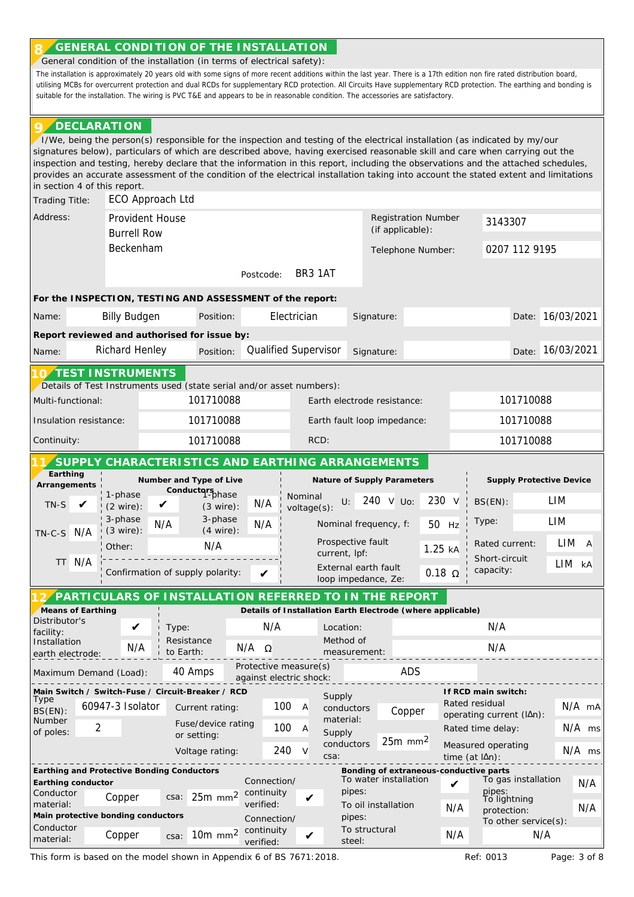## **GENERAL CONDITION OF THE INSTALLATION 8**

' General condition of the installation (in terms of electrical safety):

The installation is approximately 20 years old with some signs of more recent additions within the last year. There is a 17th edition non fire rated distribution board, utilising MCBs for overcurrent protection and dual RCDs for supplementary RCD protection. All Circuits Have supplementary RCD protection. The earthing and bonding is suitable for the installation. The wiring is PVC T&E and appears to be in reasonable condition. The accessories are satisfactory.

## **DECLARATION 9**

' I/We, being the person(s) responsible for the inspection and testing of the electrical installation (as indicated by my/our signatures below), particulars of which are described above, having exercised reasonable skill and care when carrying out the inspection and testing, hereby declare that the information in this report, including the observations and the attached schedules, provides an accurate assessment of the condition of the electrical installation taking into account the stated extent and limitations in section 4 of this report. Trading Title: ECO Approach Ltd Address: Provident House Communication Number Registration Number Provident House 3143307 (if applicable): Burrell Row Beckenham 0207 112 9195 Telephone Number: BR3 1AT Postcode: **For the INSPECTION, TESTING AND ASSESSMENT of the report:** Name: Billy Budgen Position: Electrician Signature: Date: 16/03/2021 **Report reviewed and authorised for issue by:** Name: Pichard Henley Position: Qualified Supervisor Signature: 20 Date: 16/03/2021 **TEST INSTRUMENTS 10** ' Details of Test Instruments used (state serial and/or asset numbers): 101710088 101710088 Multi-functional: Earth electrode resistance: 101710088 101710088 Insulation resistance: Earth fault loop impedance: Continuity: 101710088 RCD: 101710088 **SUPPLY CHARACTERISTICS AND EARTHING ARRANGEMENTS 11 Earthing Number and Type of Live Nature of Supply Parameters Supply Protective Device Arrangements Conductors** 1-phase 1-phase Nominal LIM wominar<br>voltage(s): U: 240 V Uo: 230 V BS(EN):  $\triangledown$  (3 wire): N/A TN-S ✔ (2 wire): 3-phase 3-phase LIM Nominal frequency, f: Type:  $N/A$   $3-pHase$   $N/A$   $(4 \text{ wire})$ : 50 Hz (3 wire): TN-C-S N/A Prospective fault Rated current: LIM A N/A Other: 1.25 kA current, lpf: \_\_\_\_\_\_\_\_\_\_\_\_\_\_\_\_\_\_\_\_ Short-circuit TT N/A LIM kA External earth fault capacity: Confirmation of supply polarity:  $0.18$  Ω ✔ loop impedance, Ze: **PARTICULARS OF INSTALLATION REFERRED TO IN THE REPORT 12 ' Means of Earthing Details of Installation Earth Electrode (where applicable)** Distributor's N/A N/A ✔ Type: Location: facility: Resistance Method of Installation N/A  $N/A$  Ω N/A to Earth: measurement: earth electrode: -----Protective measure(s) Maximum Demand (Load): 40 Amps rocetive measure(s) and ADS against electric shock: **Main Switch / Switch-Fuse / Circuit-Breaker / RCD If RCD main switch:** Supply **Type** Rated residual 60947-3 Isolator 100 A N/A mA Current rating: conductors BS(EN): Copper operating current (lΔn): Number material: Fuse/device rating  $\mathfrak{D}$ 100 A Rated time delay: N/A ms of poles: Supply or setting: 25m mm2 conductors Measured operating 240 V N/A ms Voltage rating: csa: time (at lΔn):  $= -$ **Earthing and Protective Bonding Conductors Bonding of extraneous-conductive parts** To water installation  $\boldsymbol{V}$  To gas installation  $N/A$ **Earthing conductor** Connection/ Conductor pipes: pipes: To lightning csa: 25m mm<sup>2</sup> continuity Copper  $\cos 25$ m mm<sup>2</sup> continuity material: To oil installation N/A protection: N/A **Main protective bonding conductors** pipes: Connection/ To other service(s): Conductor To structural Copper  $\cos a$ : 10m mm<sup>2</sup> continuity material: Copper N/A N/Asteel: verified:

This form is based on the model shown in Appendix 6 of BS 7671:2018. Ref: 0013 Page: 3 of 8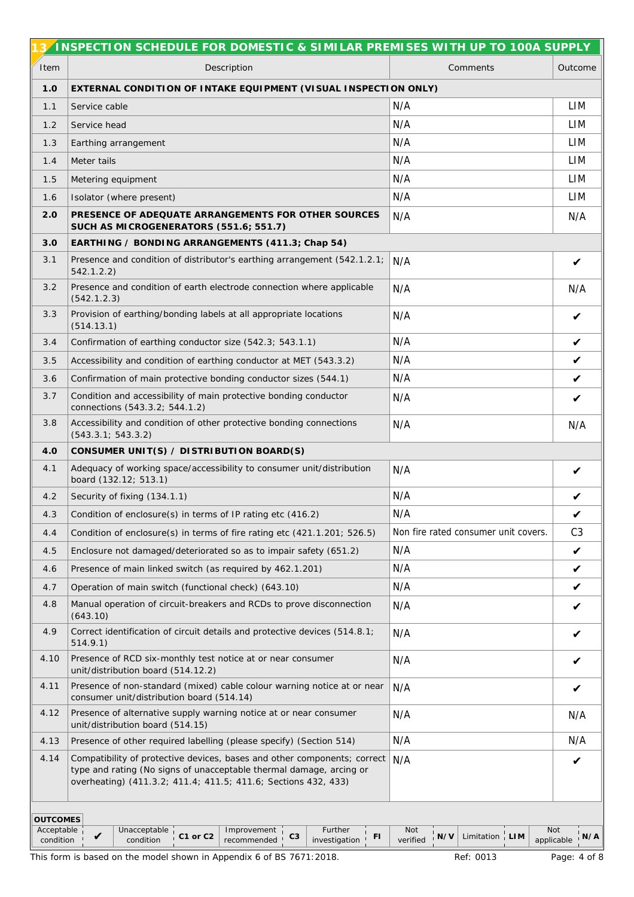|                                            | INSPECTION SCHEDULE FOR DOMESTIC & SIMILAR PREMISES WITH UP TO 100A SUPPLY                                                                                                                                        |                                                            |                          |
|--------------------------------------------|-------------------------------------------------------------------------------------------------------------------------------------------------------------------------------------------------------------------|------------------------------------------------------------|--------------------------|
| Item                                       | Description                                                                                                                                                                                                       | Comments                                                   | Outcome                  |
| 1.0                                        | EXTERNAL CONDITION OF INTAKE EQUIPMENT (VISUAL INSPECTION ONLY)                                                                                                                                                   |                                                            |                          |
| 1.1                                        | Service cable                                                                                                                                                                                                     | N/A                                                        | LIM                      |
| 1.2                                        | Service head                                                                                                                                                                                                      | N/A                                                        | LIM                      |
| 1.3                                        | Earthing arrangement                                                                                                                                                                                              | N/A                                                        | LIM                      |
| 1.4                                        | Meter tails                                                                                                                                                                                                       | N/A                                                        | LIM                      |
| 1.5                                        | Metering equipment                                                                                                                                                                                                | N/A                                                        | LIM                      |
| 1.6                                        | Isolator (where present)                                                                                                                                                                                          | N/A                                                        | LIM                      |
| 2.0                                        | PRESENCE OF ADEQUATE ARRANGEMENTS FOR OTHER SOURCES<br>SUCH AS MICROGENERATORS (551.6; 551.7)                                                                                                                     | N/A                                                        | N/A                      |
| 3.0                                        | EARTHING / BONDING ARRANGEMENTS (411.3; Chap 54)                                                                                                                                                                  |                                                            |                          |
| 3.1                                        | Presence and condition of distributor's earthing arrangement (542.1.2.1;<br>542.1.2.2)                                                                                                                            | N/A                                                        | V                        |
| 3.2                                        | Presence and condition of earth electrode connection where applicable<br>(542.1.2.3)                                                                                                                              | N/A                                                        | N/A                      |
| 3.3                                        | Provision of earthing/bonding labels at all appropriate locations<br>(514.13.1)                                                                                                                                   | N/A                                                        | V                        |
| 3.4                                        | Confirmation of earthing conductor size (542.3; 543.1.1)                                                                                                                                                          | N/A                                                        | V                        |
| 3.5                                        | Accessibility and condition of earthing conductor at MET (543.3.2)                                                                                                                                                | N/A                                                        | $\checkmark$             |
| 3.6                                        | Confirmation of main protective bonding conductor sizes (544.1)                                                                                                                                                   | N/A                                                        | V                        |
| 3.7                                        | Condition and accessibility of main protective bonding conductor<br>connections (543.3.2; 544.1.2)                                                                                                                | N/A                                                        | V                        |
| 3.8                                        | Accessibility and condition of other protective bonding connections<br>(543.3.1; 543.3.2)                                                                                                                         | N/A                                                        | N/A                      |
| 4.0                                        | CONSUMER UNIT(S) / DISTRIBUTION BOARD(S)                                                                                                                                                                          |                                                            |                          |
| 4.1                                        | Adequacy of working space/accessibility to consumer unit/distribution<br>board (132.12; 513.1)                                                                                                                    | N/A                                                        | V                        |
| 4.2                                        | Security of fixing (134.1.1)                                                                                                                                                                                      | N/A                                                        | V                        |
| 4.3                                        | Condition of enclosure(s) in terms of IP rating etc (416.2)                                                                                                                                                       | N/A                                                        | V                        |
| 4.4                                        | Condition of enclosure(s) in terms of fire rating etc (421.1.201; 526.5)                                                                                                                                          | Non fire rated consumer unit covers.                       | C <sub>3</sub>           |
| 4.5                                        | Enclosure not damaged/deteriorated so as to impair safety (651.2)                                                                                                                                                 | N/A                                                        | $\checkmark$             |
| 4.6                                        | Presence of main linked switch (as required by 462.1.201)                                                                                                                                                         | N/A                                                        | $\checkmark$             |
| 4.7                                        | Operation of main switch (functional check) (643.10)                                                                                                                                                              | N/A                                                        | $\checkmark$             |
| 4.8                                        | Manual operation of circuit-breakers and RCDs to prove disconnection<br>(643.10)                                                                                                                                  | N/A                                                        | V                        |
| 4.9                                        | Correct identification of circuit details and protective devices (514.8.1;<br>514.9.1)                                                                                                                            | N/A                                                        | V                        |
| 4.10                                       | Presence of RCD six-monthly test notice at or near consumer<br>unit/distribution board (514.12.2)                                                                                                                 | N/A                                                        |                          |
| 4.11                                       | Presence of non-standard (mixed) cable colour warning notice at or near<br>consumer unit/distribution board (514.14)                                                                                              | N/A                                                        | V                        |
| 4.12                                       | Presence of alternative supply warning notice at or near consumer<br>unit/distribution board (514.15)                                                                                                             | N/A                                                        | N/A                      |
| 4.13                                       | Presence of other required labelling (please specify) (Section 514)                                                                                                                                               | N/A                                                        | N/A                      |
| 4.14                                       | Compatibility of protective devices, bases and other components; correct<br>type and rating (No signs of unacceptable thermal damage, arcing or<br>overheating) (411.3.2; 411.4; 411.5; 411.6; Sections 432, 433) | N/A                                                        | V                        |
| <b>OUTCOMES</b><br>Acceptable<br>condition | Unacceptable<br>Improvement<br>Further<br>C <sub>3</sub><br>V<br>C1 or C2<br>FI.<br>condition<br>recommended<br>investigation                                                                                     | Not<br>Limitation $\frac{1}{1}$ LIM<br>$'$ N/V<br>verified | Not<br>N/A<br>applicable |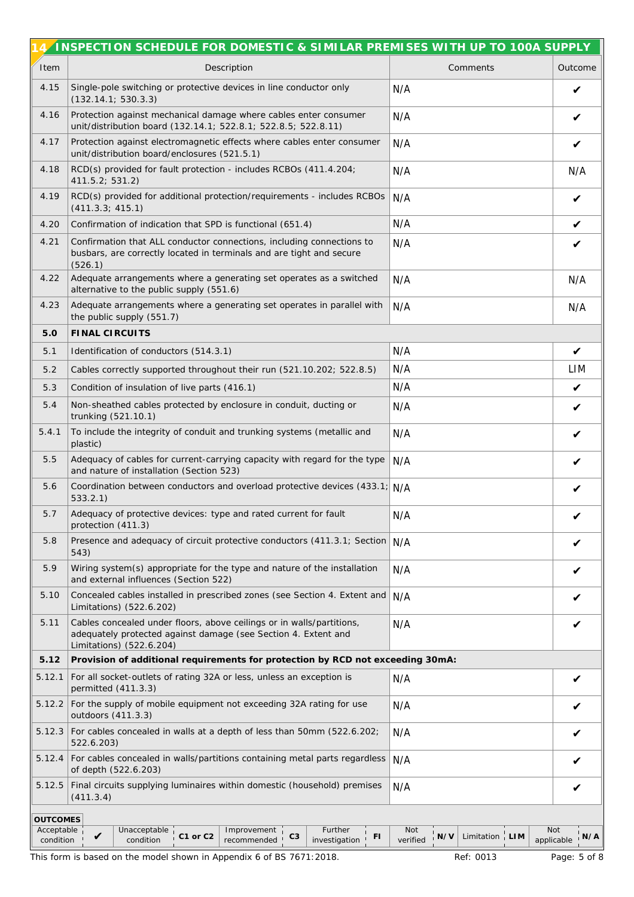|                                            | 4/INSPECTION SCHEDULE FOR DOMESTIC & SIMILAR PREMISES WITH UP TO 100A SUPPLY                                                                                        |                                                                      |                                 |
|--------------------------------------------|---------------------------------------------------------------------------------------------------------------------------------------------------------------------|----------------------------------------------------------------------|---------------------------------|
| Item                                       | Description                                                                                                                                                         | Comments                                                             | Outcome                         |
| 4.15                                       | Single-pole switching or protective devices in line conductor only<br>(132.14.1; 530.3.3)                                                                           | N/A                                                                  | V                               |
| 4.16                                       | Protection against mechanical damage where cables enter consumer<br>unit/distribution board (132.14.1; 522.8.1; 522.8.5; 522.8.11)                                  | N/A                                                                  | V                               |
| 4.17                                       | Protection against electromagnetic effects where cables enter consumer<br>unit/distribution board/enclosures (521.5.1)                                              | N/A                                                                  | V                               |
| 4.18                                       | RCD(s) provided for fault protection - includes RCBOs (411.4.204;<br>411.5.2; 531.2)                                                                                | N/A                                                                  | N/A                             |
| 4.19                                       | RCD(s) provided for additional protection/requirements - includes RCBOs<br>(411.3.3; 415.1)                                                                         | N/A                                                                  | $\checkmark$                    |
| 4.20                                       | Confirmation of indication that SPD is functional (651.4)                                                                                                           | N/A                                                                  | $\checkmark$                    |
| 4.21                                       | Confirmation that ALL conductor connections, including connections to<br>busbars, are correctly located in terminals and are tight and secure<br>(526.1)            | N/A                                                                  | V                               |
| 4.22                                       | Adequate arrangements where a generating set operates as a switched<br>alternative to the public supply (551.6)                                                     | N/A                                                                  | N/A                             |
| 4.23                                       | Adequate arrangements where a generating set operates in parallel with<br>the public supply (551.7)                                                                 | N/A                                                                  | N/A                             |
| 5.0                                        | FINAL CIRCUITS                                                                                                                                                      |                                                                      |                                 |
| 5.1                                        | Identification of conductors (514.3.1)                                                                                                                              | N/A                                                                  | $\checkmark$                    |
| 5.2                                        | Cables correctly supported throughout their run (521.10.202; 522.8.5)                                                                                               | N/A                                                                  | LIM                             |
| 5.3                                        | Condition of insulation of live parts (416.1)                                                                                                                       | N/A                                                                  | V                               |
| 5.4                                        | Non-sheathed cables protected by enclosure in conduit, ducting or<br>trunking (521.10.1)                                                                            | N/A                                                                  | V                               |
| 5.4.1                                      | To include the integrity of conduit and trunking systems (metallic and<br>plastic)                                                                                  | N/A                                                                  | V                               |
| 5.5                                        | Adequacy of cables for current-carrying capacity with regard for the type<br>and nature of installation (Section 523)                                               | N/A                                                                  | V                               |
| 5.6                                        | Coordination between conductors and overload protective devices (433.1; N/A<br>533.2.1)                                                                             |                                                                      |                                 |
| 5.7                                        | Adequacy of protective devices: type and rated current for fault<br>protection (411.3)                                                                              | N/A                                                                  | V                               |
| 5.8                                        | Presence and adequacy of circuit protective conductors (411.3.1; Section N/A<br>543)                                                                                |                                                                      | V                               |
| 5.9                                        | Wiring system(s) appropriate for the type and nature of the installation<br>and external influences (Section 522)                                                   | N/A                                                                  |                                 |
| 5.10                                       | Concealed cables installed in prescribed zones (see Section 4. Extent and<br>Limitations) (522.6.202)                                                               | N/A                                                                  |                                 |
| 5.11                                       | Cables concealed under floors, above ceilings or in walls/partitions,<br>adequately protected against damage (see Section 4. Extent and<br>Limitations) (522.6.204) | N/A                                                                  |                                 |
| 5.12                                       | Provision of additional requirements for protection by RCD not exceeding 30mA:                                                                                      |                                                                      |                                 |
| 5.12.1                                     | For all socket-outlets of rating 32A or less, unless an exception is<br>permitted (411.3.3)                                                                         | N/A                                                                  | V                               |
|                                            | 5.12.2 For the supply of mobile equipment not exceeding 32A rating for use<br>outdoors (411.3.3)                                                                    | N/A                                                                  |                                 |
|                                            | 5.12.3 For cables concealed in walls at a depth of less than 50mm (522.6.202;<br>522.6.203)                                                                         | N/A                                                                  | V                               |
| 5.12.4                                     | For cables concealed in walls/partitions containing metal parts regardless<br>of depth (522.6.203)                                                                  | N/A                                                                  | V                               |
| 5.12.5                                     | Final circuits supplying luminaires within domestic (household) premises<br>(411.3.4)                                                                               | N/A                                                                  | V                               |
| <b>OUTCOMES</b><br>Acceptable<br>condition | Further<br>Unacceptable<br>Improvement<br>$\checkmark$<br>C <sub>3</sub><br>C1 or C2<br>FI<br>condition<br>recommended<br>investigation                             | Not<br>Limitation $\frac{1}{1}$ LIM<br>$\frac{1}{1}$ N/V<br>verified | <b>Not</b><br>N/A<br>applicable |

This form is based on the model shown in Appendix 6 of BS 7671:2018. Ref: 0013 Page: 5 of 8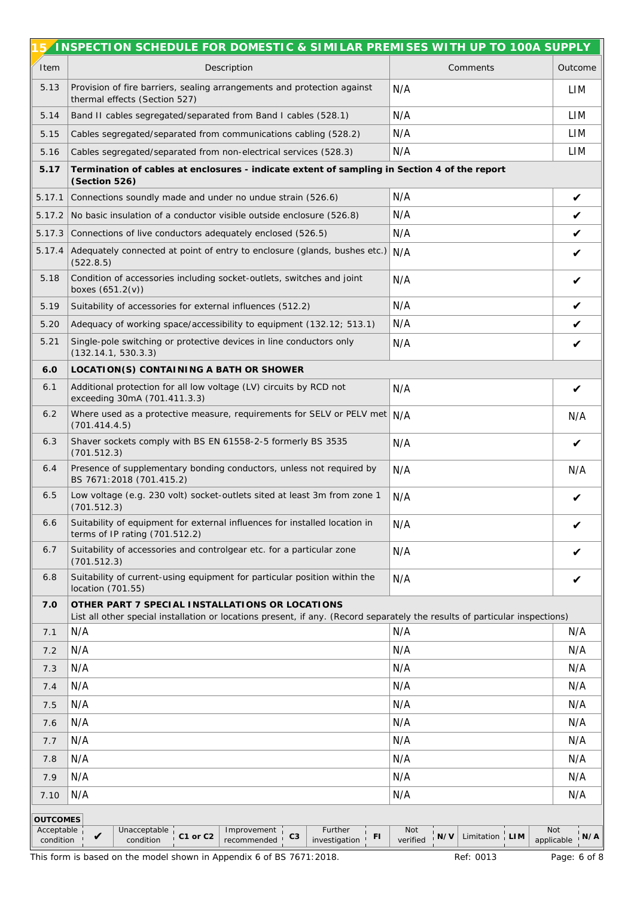|                         | INSPECTION SCHEDULE FOR DOMESTIC & SIMILAR PREMISES WITH UP TO 100A SUPPLY                                                                                                     |                                                        |                                 |  |
|-------------------------|--------------------------------------------------------------------------------------------------------------------------------------------------------------------------------|--------------------------------------------------------|---------------------------------|--|
| Item                    | Description                                                                                                                                                                    | Comments                                               | Outcome                         |  |
| 5.13                    | Provision of fire barriers, sealing arrangements and protection against<br>thermal effects (Section 527)                                                                       | N/A                                                    | LIM                             |  |
| 5.14                    | Band II cables segregated/separated from Band I cables (528.1)                                                                                                                 | N/A                                                    | LIM                             |  |
| 5.15                    | Cables segregated/separated from communications cabling (528.2)                                                                                                                | N/A                                                    | LIM                             |  |
| 5.16                    | Cables segregated/separated from non-electrical services (528.3)                                                                                                               | N/A                                                    | LIM                             |  |
| 5.17                    | Termination of cables at enclosures - indicate extent of sampling in Section 4 of the report<br>(Section 526)                                                                  |                                                        |                                 |  |
| 5.17.1                  | Connections soundly made and under no undue strain (526.6)                                                                                                                     | N/A                                                    | $\checkmark$                    |  |
| 5.17.2                  | No basic insulation of a conductor visible outside enclosure (526.8)                                                                                                           | N/A                                                    | $\checkmark$                    |  |
| 5.17.3                  | Connections of live conductors adequately enclosed (526.5)                                                                                                                     | N/A                                                    | $\checkmark$                    |  |
| 5.17.4                  | Adequately connected at point of entry to enclosure (glands, bushes etc.) N/A<br>(522.8.5)                                                                                     |                                                        | V                               |  |
| 5.18                    | Condition of accessories including socket-outlets, switches and joint<br>boxes (651.2(v))                                                                                      | N/A                                                    | V                               |  |
| 5.19                    | Suitability of accessories for external influences (512.2)                                                                                                                     | N/A                                                    | $\checkmark$                    |  |
| 5.20                    | Adequacy of working space/accessibility to equipment (132.12; 513.1)                                                                                                           | N/A                                                    | $\checkmark$                    |  |
| 5.21                    | Single-pole switching or protective devices in line conductors only<br>(132.14.1, 530.3.3)                                                                                     | N/A                                                    | V                               |  |
| 6.0                     | LOCATION(S) CONTAINING A BATH OR SHOWER                                                                                                                                        |                                                        |                                 |  |
| 6.1                     | Additional protection for all low voltage (LV) circuits by RCD not<br>exceeding 30mA (701.411.3.3)                                                                             | N/A                                                    | $\boldsymbol{\nu}$              |  |
| 6.2                     | Where used as a protective measure, requirements for SELV or PELV met N/A<br>(701.414.4.5)                                                                                     |                                                        | N/A                             |  |
| 6.3                     | Shaver sockets comply with BS EN 61558-2-5 formerly BS 3535<br>(701.512.3)                                                                                                     | N/A                                                    | V                               |  |
| 6.4                     | Presence of supplementary bonding conductors, unless not required by<br>BS 7671:2018 (701.415.2)                                                                               | N/A                                                    | N/A                             |  |
| 6.5                     | Low voltage (e.g. 230 volt) socket-outlets sited at least 3m from zone 1<br>(701.512.3)                                                                                        | N/A                                                    | V                               |  |
| 6.6                     | Suitability of equipment for external influences for installed location in<br>terms of IP rating (701.512.2)                                                                   | N/A                                                    | V                               |  |
| 6.7                     | Suitability of accessories and controlgear etc. for a particular zone<br>(701.512.3)                                                                                           | N/A                                                    |                                 |  |
| 6.8                     | Suitability of current-using equipment for particular position within the<br>location (701.55)                                                                                 | N/A                                                    | V                               |  |
| 7.0                     | OTHER PART 7 SPECIAL INSTALLATIONS OR LOCATIONS<br>List all other special installation or locations present, if any. (Record separately the results of particular inspections) |                                                        |                                 |  |
| 7.1                     | N/A                                                                                                                                                                            | N/A                                                    | N/A                             |  |
| 7.2                     | N/A                                                                                                                                                                            | N/A                                                    | N/A                             |  |
| 7.3                     | N/A                                                                                                                                                                            | N/A                                                    | N/A                             |  |
| 7.4                     | N/A                                                                                                                                                                            | N/A                                                    | N/A                             |  |
| 7.5                     | N/A                                                                                                                                                                            | N/A                                                    | N/A                             |  |
| 7.6                     | N/A                                                                                                                                                                            | N/A                                                    | N/A                             |  |
| 7.7                     | N/A                                                                                                                                                                            | N/A                                                    | N/A                             |  |
| 7.8                     | N/A                                                                                                                                                                            | N/A                                                    | N/A                             |  |
| 7.9                     | N/A                                                                                                                                                                            | N/A                                                    | N/A                             |  |
| 7.10                    | N/A                                                                                                                                                                            | N/A                                                    | N/A                             |  |
| <b>OUTCOMES</b>         |                                                                                                                                                                                |                                                        |                                 |  |
| Acceptable<br>condition | Further<br>Unacceptable<br>Improvement<br>C1 or C2<br>C <sub>3</sub><br>FI<br>V<br>condition<br>recommended<br>investigation 1                                                 | Not<br>Limitation $\frac{1}{1}$ LIM<br>N/V<br>verified | <b>Not</b><br>N/A<br>applicable |  |
|                         | This form is based on the model shown in Appendix 6 of BS 7671:2018.                                                                                                           | Ref: 0013                                              | Page: 6 of 8                    |  |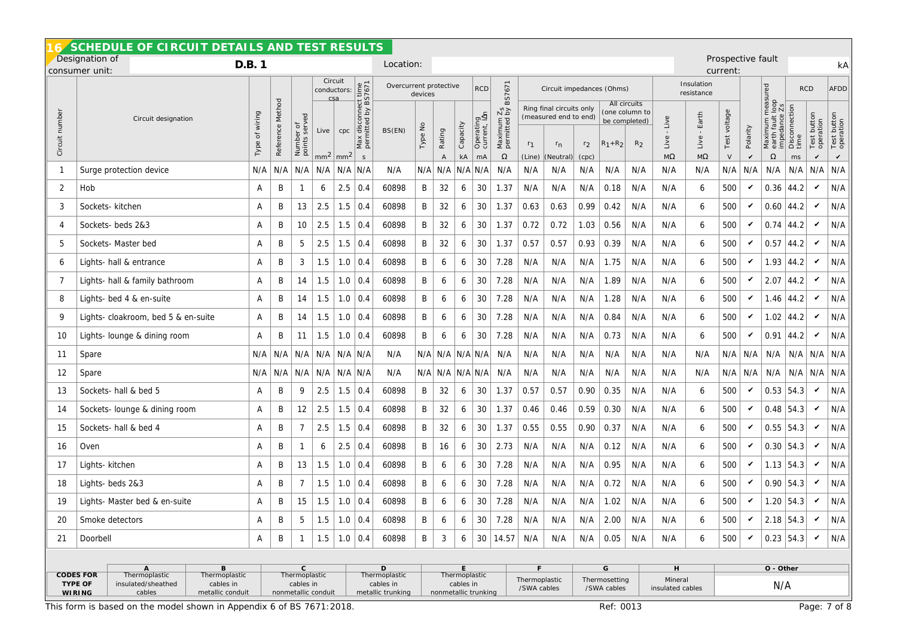| SCHEDULE OF CIRCUIT DETAILS AND TEST RESULTS<br>Prospective fault                                                                          |                                                                                                 |                     |                     |                                         |                                           |                        |                                                  |                                 |         |                        |                 |                                 |                                      |                                   |                                                                           |                         |                                   |                                                                   |                                  |                            |                           |                          |                                                                                           |                             |                                        |                               |
|--------------------------------------------------------------------------------------------------------------------------------------------|-------------------------------------------------------------------------------------------------|---------------------|---------------------|-----------------------------------------|-------------------------------------------|------------------------|--------------------------------------------------|---------------------------------|---------|------------------------|-----------------|---------------------------------|--------------------------------------|-----------------------------------|---------------------------------------------------------------------------|-------------------------|-----------------------------------|-------------------------------------------------------------------|----------------------------------|----------------------------|---------------------------|--------------------------|-------------------------------------------------------------------------------------------|-----------------------------|----------------------------------------|-------------------------------|
| Designation of<br>D.B. 1<br>consumer unit:                                                                                                 |                                                                                                 |                     |                     |                                         |                                           |                        | Location:                                        |                                 |         |                        |                 |                                 |                                      |                                   |                                                                           |                         |                                   |                                                                   |                                  | current:                   |                           |                          |                                                                                           | kA                          |                                        |                               |
|                                                                                                                                            |                                                                                                 |                     |                     |                                         | Circuit<br>conductors:<br>csa             |                        |                                                  |                                 | devices | Overcurrent protective |                 |                                 | BS7671                               |                                   | Circuit impedances (Ohms)                                                 |                         |                                   |                                                                   | Insulation<br>resistance         |                            |                           |                          |                                                                                           |                             | <b>RCD</b>                             | <b>AFDD</b>                   |
| Circuit number                                                                                                                             | Circuit designation                                                                             | wiring<br>đ<br>Type | Method<br>Reference | Pə,<br>serv<br>đ<br>Number<br>points se | Live<br>mm <sup>2</sup>                   | cpc<br>mm <sup>2</sup> | isconnect time<br>tted by BS7671<br>Max dis<br>S | BS(EN)                          | Type No | Rating<br>$\mathsf A$  | Capacity<br>kA  | Operating<br>current, IAn<br>mA | $\frac{5}{2}$<br>Maximum<br>$\Omega$ | r <sub>1</sub><br>(Line)          | Ring final circuits only<br>(measured end to end)<br>$r_{n}$<br>(Neutral) | r <sub>2</sub><br>(cpc) | $R_1 + R_2$                       | All circuits<br>(one column to<br>be completed)<br>R <sub>2</sub> | Live<br>Live<br>$M\Omega$        | Earth<br>Live<br>$M\Omega$ | voltage<br>Test<br>$\vee$ | Polarity<br>$\checkmark$ | measured<br>$\frac{loop}{2s}$<br>impedance<br>fault<br>Maximum<br>earth fault<br>$\Omega$ | Disconnection<br>time<br>ms | button<br>Test butto<br>operation<br>v | Test button<br>operation<br>v |
| -1                                                                                                                                         | Surge protection device                                                                         | N/A                 | N/A                 | N/A                                     | N/A                                       |                        | $N/A$ $N/A$                                      | N/A                             | N/A     | N/A                    |                 | $N/A$ $N/A$                     | N/A                                  | N/A                               | N/A                                                                       | N/A                     | N/A                               | N/A                                                               | N/A                              | N/A                        | N/A                       | N/A                      | N/A                                                                                       | N/A                         | N/A                                    | N/A                           |
| $\overline{2}$                                                                                                                             | Hob                                                                                             | A                   | Β                   | -1                                      | 6                                         | 2.5                    | 0.4                                              | 60898                           | B       | 32                     | 6               | 30                              | 1.37                                 | N/A                               | N/A                                                                       | N/A                     | 0.18                              | N/A                                                               | N/A                              | 6                          | 500                       | V                        |                                                                                           | $0.36$ 44.2                 | $\checkmark$                           | N/A                           |
| 3                                                                                                                                          | Sockets- kitchen                                                                                | Α                   | Β                   | 13                                      | 2.5                                       | 1.5                    | 0.4                                              | 60898                           | B       | 32                     | 6               | 30                              | 1.37                                 | 0.63                              | 0.63                                                                      | 0.99                    | 0.42                              | N/A                                                               | N/A                              | 6                          | 500                       | v                        |                                                                                           | $0.60$ 44.2                 | V                                      | N/A                           |
| 4                                                                                                                                          | Sockets- beds 2&3                                                                               | Α                   | B                   | 10                                      | 2.5                                       | 1.5                    | 0.4                                              | 60898                           | B       | 32                     | 6               | 30                              | 1.37                                 | 0.72                              | 0.72                                                                      | 1.03                    | 0.56                              | N/A                                                               | N/A                              | 6                          | 500                       | v                        |                                                                                           | $0.74$ 44.2                 | V                                      | N/A                           |
| 5                                                                                                                                          | Sockets- Master bed                                                                             | Α                   | Β                   | 5                                       | 2.5                                       | 1.5                    | 0.4                                              | 60898                           | B       | 32                     | 6               | 30                              | 1.37                                 | 0.57                              | 0.57                                                                      | 0.93                    | 0.39                              | N/A                                                               | N/A                              | 6                          | 500                       | v                        |                                                                                           | $0.57$ 44.2                 | V                                      | N/A                           |
| 6                                                                                                                                          | Lights- hall & entrance                                                                         | Α                   | B                   | 3                                       | 1.5                                       | 1.0                    | 0.4                                              | 60898                           | B       | 6                      | 6               | 30                              | 7.28                                 | N/A                               | N/A                                                                       | N/A                     | 1.75                              | N/A                                                               | N/A                              | 6                          | 500                       | v                        |                                                                                           | $1.93$ 44.2                 | $\checkmark$                           | N/A                           |
| 7                                                                                                                                          | Lights- hall & family bathroom                                                                  | Α                   | Β                   | 14                                      | 1.5                                       | 1.0                    | 0.4                                              | 60898                           | B       | 6                      | 6               | 30                              | 7.28                                 | N/A                               | N/A                                                                       | N/A                     | 1.89                              | N/A                                                               | N/A                              | 6                          | 500                       | v                        |                                                                                           | $2.07$ 44.2                 | $\checkmark$                           | N/A                           |
| 8                                                                                                                                          | Lights- bed 4 & en-suite                                                                        |                     | B                   | 14                                      | 1.5                                       | 1.0                    | 0.4                                              | 60898                           | B       | 6                      | 6               | 30                              | 7.28                                 | N/A                               | N/A                                                                       | N/A                     | 1.28                              | N/A                                                               | N/A                              | 6                          | 500                       | V                        |                                                                                           | $1.46$ 44.2                 | $\checkmark$                           | N/A                           |
| $\mathsf{Q}$                                                                                                                               | Lights- cloakroom, bed 5 & en-suite                                                             | Α                   | Β                   | 14                                      | 1.5                                       | 1.0                    | 0.4                                              | 60898                           | B       | 6                      | 6               | 30                              | 7.28                                 | N/A                               | N/A                                                                       | N/A                     | 0.84                              | N/A                                                               | N/A                              | 6                          | 500                       | V                        | 1.02                                                                                      | $ 44.2\rangle$              | V                                      | N/A                           |
| 10                                                                                                                                         | Lights- lounge & dining room                                                                    | A                   | Β                   | 11                                      | 1.5                                       | 1.0                    | 0.4                                              | 60898                           | B       | 6                      | 6               | 30                              | 7.28                                 | N/A                               | N/A                                                                       | N/A                     | 0.73                              | N/A                                                               | N/A                              | 6                          | 500                       | v                        | 0.91                                                                                      | $ 44.2\rangle$              | V                                      | N/A                           |
| 11                                                                                                                                         | Spare                                                                                           | N/A                 | N/A                 | N/A                                     |                                           | $N/A$ $N/A$ $N/A$      |                                                  | N/A                             |         |                        |                 | $N/A$ $N/A$ $N/A$ $N/A$         | N/A                                  | N/A                               | N/A                                                                       | N/A                     | N/A                               | N/A                                                               | N/A                              | N/A                        | N/A                       | N/A                      | N/A                                                                                       |                             | $N/A$ $N/A$ $N/A$                      |                               |
| 12                                                                                                                                         | Spare                                                                                           | N/A                 | N/A                 | N/A                                     | N/A                                       | N/A   N/A              |                                                  | N/A                             |         | N/A  N/A               |                 | $N/A \, N/A$                    | N/A                                  | N/A                               | N/A                                                                       | N/A                     | N/A                               | N/A                                                               | N/A                              | N/A                        | N/A                       | N/A                      | N/A                                                                                       | N/A                         |                                        | N/A N/A                       |
| 13                                                                                                                                         | Sockets- hall & bed 5                                                                           | A                   | B                   | 9                                       | 2.5                                       | 1.5                    | 0.4                                              | 60898                           | B       | 32                     | 6               | 30                              | 1.37                                 | 0.57                              | 0.57                                                                      | 0.90                    | 0.35                              | N/A                                                               | N/A                              | 6                          | 500                       | V                        |                                                                                           | $0.53$ 54.3                 | $\checkmark$                           | N/A                           |
| -14                                                                                                                                        | Sockets- lounge & dining room                                                                   | Α                   | Β                   | 12                                      | 2.5                                       | 1.5                    | 0.4                                              | 60898                           | B       | 32                     | 6               | 30                              | 1.37                                 | 0.46                              | 0.46                                                                      | 0.59                    | 0.30                              | N/A                                                               | N/A                              | 6                          | 500                       | V                        |                                                                                           | $0.48$ 54.3                 | V                                      | N/A                           |
| 15                                                                                                                                         | Sockets- hall & bed 4                                                                           | Α                   | Β                   | 7                                       | 2.5                                       | 1.5                    | 0.4                                              | 60898                           | B       | 32                     | 6               | 30                              | 1.37                                 | 0.55                              | 0.55                                                                      | 0.90                    | 0.37                              | N/A                                                               | N/A                              | 6                          | 500                       | v                        |                                                                                           | $0.55$ 54.3                 | $\checkmark$                           | N/A                           |
| 16                                                                                                                                         | Oven                                                                                            | Α                   | B                   | 1                                       | 6                                         | 2.5                    | 0.4                                              | 60898                           | B       | 16                     | 6               | 30                              | 2.73                                 | N/A                               | N/A                                                                       | N/A                     | 0.12                              | N/A                                                               | N/A                              | 6                          | 500                       | V                        |                                                                                           | $0.30$ 54.3                 | $\checkmark$                           | N/A                           |
| 17                                                                                                                                         | Lights- kitchen                                                                                 | Α                   | Β                   | 13                                      | 1.5                                       | 1.0                    | 0.4                                              | 60898                           | B       | 6                      | 6               | 30                              | 7.28                                 | N/A                               | N/A                                                                       | N/A                     | 0.95                              | N/A                                                               | N/A                              | 6                          | 500                       | V                        |                                                                                           | $1.13$ 54.3                 | $\checkmark$                           | N/A                           |
| 18                                                                                                                                         | Lights- beds 2&3                                                                                | Α                   | Β                   | 7                                       | 1.5                                       | 1.0                    | 0.4                                              | 60898                           | B       | 6                      | 6               | 30                              | 7.28                                 | N/A                               | N/A                                                                       | N/A                     | 0.72                              | N/A                                                               | N/A                              | 6                          | 500                       | V                        |                                                                                           | $0.90$ 54.3                 | V                                      | N/A                           |
| 19                                                                                                                                         | Lights- Master bed & en-suite                                                                   | Α                   | Β                   | 15                                      | 1.5                                       | 1.0                    | 0.4                                              | 60898                           | B       | 6                      | 6               | 30                              | 7.28                                 | N/A                               | N/A                                                                       | N/A                     | 1.02                              | N/A                                                               | N/A                              | 6                          | 500                       | v                        |                                                                                           | $1.20$ 54.3                 | V                                      | N/A                           |
| 20                                                                                                                                         | Smoke detectors                                                                                 | Α                   | B                   | 5                                       |                                           | $1.5$   1.0   0.4      |                                                  | 60898                           | Β       | 6                      | 6               |                                 | $30 \mid 7.28$                       | N/A                               | N/A                                                                       | N/A                     | 2.00                              | N/A                                                               | N/A                              | 6                          | 500                       | V                        | $2.18$ 54.3                                                                               |                             | V                                      | N/A                           |
| 21                                                                                                                                         | Doorbell                                                                                        | A                   | B                   | $\overline{1}$                          |                                           | $1.5$   1.0   0.4      |                                                  | 60898                           | B       | 3                      | 6               |                                 | 30   14.57                           | N/A                               | N/A                                                                       |                         | $N/A$ 0.05                        | N/A                                                               | N/A                              | 6                          | 500                       | $\checkmark$             | 0.23 54.3                                                                                 |                             | $\checkmark$                           | N/A                           |
|                                                                                                                                            |                                                                                                 |                     |                     |                                         |                                           |                        |                                                  |                                 |         |                        |                 |                                 |                                      |                                   |                                                                           |                         |                                   |                                                                   |                                  |                            |                           |                          |                                                                                           |                             |                                        |                               |
| TYPE OF                                                                                                                                    | В<br>A<br><b>CODES FOR</b><br>Thermoplastic<br>Thermoplastic<br>insulated/sheathed<br>cables in |                     |                     |                                         | $\mathsf C$<br>Thermoplastic<br>cables in |                        |                                                  | D<br>Thermoplastic<br>cables in |         |                        | E.<br>cables in | Thermoplastic                   |                                      | F<br>Thermoplastic<br>/SWA cables |                                                                           |                         | G<br>Thermosetting<br>/SWA cables |                                                                   | Н<br>Mineral<br>insulated cables |                            |                           |                          | O - Other<br>N/A                                                                          |                             |                                        |                               |
| cables<br>metallic conduit<br>nonmetallic conduit<br><b>WIRING</b><br>This form is based on the model shown in Appendix 6 of BS 7671:2018. |                                                                                                 |                     |                     |                                         |                                           |                        |                                                  | metallic trunking               |         |                        |                 | nonmetallic trunking            |                                      |                                   |                                                                           |                         | Ref: 0013                         |                                                                   |                                  |                            |                           |                          |                                                                                           |                             |                                        | Page: 7 of 8                  |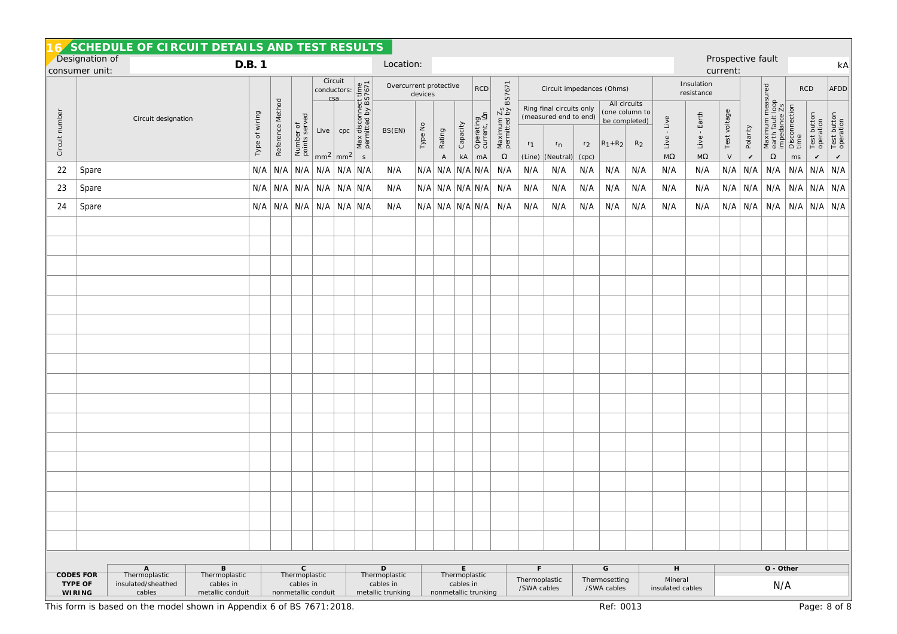|                                  |                                       |                                                    | SCHEDULE OF CIRCUIT DETAILS AND TEST RESULTS                         |                |                  |                                                                  |         |                                                                                                                                                                                                                                   |                        |                                                                |           |                         |                        |                           |                                          |                              |                                                              |                |                              |                                                          |                                  |                               |               |                     |                                                                               |                         |                          |                          |
|----------------------------------|---------------------------------------|----------------------------------------------------|----------------------------------------------------------------------|----------------|------------------|------------------------------------------------------------------|---------|-----------------------------------------------------------------------------------------------------------------------------------------------------------------------------------------------------------------------------------|------------------------|----------------------------------------------------------------|-----------|-------------------------|------------------------|---------------------------|------------------------------------------|------------------------------|--------------------------------------------------------------|----------------|------------------------------|----------------------------------------------------------|----------------------------------|-------------------------------|---------------|---------------------|-------------------------------------------------------------------------------|-------------------------|--------------------------|--------------------------|
| Designation of<br>consumer unit: |                                       |                                                    | D.B. 1                                                               |                |                  |                                                                  |         |                                                                                                                                                                                                                                   |                        |                                                                | Location: |                         |                        |                           |                                          |                              |                                                              |                |                              |                                                          |                                  | Prospective fault<br>current: |               |                     |                                                                               | kA                      |                          |                          |
|                                  |                                       |                                                    |                                                                      |                |                  | Circuit                                                          |         |                                                                                                                                                                                                                                   | Overcurrent protective | devices                                                        |           |                         | RCD                    | BS7671                    | Circuit impedances (Ohms)                |                              |                                                              |                |                              | Insulation<br>resistance                                 |                                  |                               |               |                     | <b>RCD</b>                                                                    | AFDD                    |                          |                          |
| Circuit number                   |                                       | Circuit designation                                |                                                                      | Type of wiring | Reference Method | Number of<br>points served                                       |         | Circuit<br>conductors:<br>csa<br>csa<br>csa<br>cpc<br>cpc<br>x disconset de ASSAS75<br>x disconset de ASSAS75<br>x disconset de ASSAS75<br>x disconset de ASSAS75<br>x disconset de ASSAS75<br>x disconset de ASSAS75<br>de ASSAS |                        | BS(EN)                                                         | Type No   | <b>A</b> Rating         | Capacity               | Operating<br>current, IAn | Maximum Z <sub>S</sub><br>permitted by I | $r_1$                        | Ring final circuits only<br>(measured end to end)<br>$r_{n}$ | r <sub>2</sub> | $ R_1 + R_2 $                | All circuits<br>(one column to<br>be completed)<br>$R_2$ | Live<br>Live -                   | Earth<br>$Live - 1$           | Test voltage  | Polarity            | Maximum measured<br>earth fault loop<br>impedance Zs<br>Disconnection<br>time |                         | Test button<br>operation | Test button<br>operation |
| 22                               | Spare                                 |                                                    |                                                                      | N/A            | N/A              |                                                                  | N/A N/A | $mm2$ mm <sup>2</sup><br>$N/A$ $N/A$                                                                                                                                                                                              | $\mathsf S$            | N/A                                                            |           | N/A N/A N/A N/A         | $\mathsf{k}\mathsf{A}$ | mA                        | $\Omega$<br>N/A                          | (Line)<br>N/A                | (Neutral)<br>N/A                                             | (cpc)<br>N/A   | N/A                          | N/A                                                      | $\rm{M}\Omega$<br>N/A            | $M\Omega$<br>N/A              | $\vee$<br>N/A | $\checkmark$<br>N/A | $\Omega$<br>N/A                                                               | ms<br>$N/A$ $N/A$ $N/A$ | $\checkmark$             | $\checkmark$             |
| 23                               | Spare                                 |                                                    |                                                                      |                |                  |                                                                  |         | $N/A$   $N/A$   $N/A$   $N/A$   $N/A$   $N/A$                                                                                                                                                                                     |                        | N/A                                                            |           | $N/A$ $N/A$ $N/A$ $N/A$ |                        |                           | N/A                                      | N/A                          | N/A                                                          | N/A            | N/A                          | N/A                                                      | N/A                              | N/A                           | N/A           |                     | $N/A$ $N/A$ $N/A$ $N/A$ $N/A$                                                 |                         |                          |                          |
| 24                               | Spare                                 |                                                    |                                                                      |                |                  |                                                                  |         | $N/A$ $N/A$ $N/A$ $N/A$ $N/A$ $N/A$                                                                                                                                                                                               |                        | N/A                                                            |           | $N/A$ $N/A$ $N/A$ $N/A$ |                        |                           | N/A                                      | N/A                          | N/A                                                          | N/A            | N/A                          | N/A                                                      | N/A                              | N/A                           |               |                     | $N/A$ $N/A$ $N/A$ $N/A$ $N/A$ $N/A$ $N/A$                                     |                         |                          |                          |
|                                  |                                       |                                                    |                                                                      |                |                  |                                                                  |         |                                                                                                                                                                                                                                   |                        |                                                                |           |                         |                        |                           |                                          |                              |                                                              |                |                              |                                                          |                                  |                               |               |                     |                                                                               |                         |                          |                          |
|                                  |                                       |                                                    |                                                                      |                |                  |                                                                  |         |                                                                                                                                                                                                                                   |                        |                                                                |           |                         |                        |                           |                                          |                              |                                                              |                |                              |                                                          |                                  |                               |               |                     |                                                                               |                         |                          |                          |
|                                  |                                       |                                                    |                                                                      |                |                  |                                                                  |         |                                                                                                                                                                                                                                   |                        |                                                                |           |                         |                        |                           |                                          |                              |                                                              |                |                              |                                                          |                                  |                               |               |                     |                                                                               |                         |                          |                          |
|                                  |                                       |                                                    |                                                                      |                |                  |                                                                  |         |                                                                                                                                                                                                                                   |                        |                                                                |           |                         |                        |                           |                                          |                              |                                                              |                |                              |                                                          |                                  |                               |               |                     |                                                                               |                         |                          |                          |
|                                  |                                       |                                                    |                                                                      |                |                  |                                                                  |         |                                                                                                                                                                                                                                   |                        |                                                                |           |                         |                        |                           |                                          |                              |                                                              |                |                              |                                                          |                                  |                               |               |                     |                                                                               |                         |                          |                          |
|                                  |                                       |                                                    |                                                                      |                |                  |                                                                  |         |                                                                                                                                                                                                                                   |                        |                                                                |           |                         |                        |                           |                                          |                              |                                                              |                |                              |                                                          |                                  |                               |               |                     |                                                                               |                         |                          |                          |
|                                  |                                       |                                                    |                                                                      |                |                  |                                                                  |         |                                                                                                                                                                                                                                   |                        |                                                                |           |                         |                        |                           |                                          |                              |                                                              |                |                              |                                                          |                                  |                               |               |                     |                                                                               |                         |                          |                          |
|                                  |                                       |                                                    |                                                                      |                |                  |                                                                  |         |                                                                                                                                                                                                                                   |                        |                                                                |           |                         |                        |                           |                                          |                              |                                                              |                |                              |                                                          |                                  |                               |               |                     |                                                                               |                         |                          |                          |
|                                  |                                       |                                                    |                                                                      |                |                  |                                                                  |         |                                                                                                                                                                                                                                   |                        |                                                                |           |                         |                        |                           |                                          |                              |                                                              |                |                              |                                                          |                                  |                               |               |                     |                                                                               |                         |                          |                          |
|                                  |                                       |                                                    |                                                                      |                |                  |                                                                  |         |                                                                                                                                                                                                                                   |                        |                                                                |           |                         |                        |                           |                                          |                              |                                                              |                |                              |                                                          |                                  |                               |               |                     |                                                                               |                         |                          |                          |
|                                  |                                       |                                                    |                                                                      |                |                  |                                                                  |         |                                                                                                                                                                                                                                   |                        |                                                                |           |                         |                        |                           |                                          |                              |                                                              |                |                              |                                                          |                                  |                               |               |                     |                                                                               |                         |                          |                          |
|                                  |                                       |                                                    |                                                                      |                |                  |                                                                  |         |                                                                                                                                                                                                                                   |                        |                                                                |           |                         |                        |                           |                                          |                              |                                                              |                |                              |                                                          |                                  |                               |               |                     |                                                                               |                         |                          |                          |
|                                  |                                       |                                                    |                                                                      |                |                  |                                                                  |         |                                                                                                                                                                                                                                   |                        |                                                                |           |                         |                        |                           |                                          |                              |                                                              |                |                              |                                                          |                                  |                               |               |                     |                                                                               |                         |                          |                          |
|                                  |                                       |                                                    |                                                                      |                |                  |                                                                  |         |                                                                                                                                                                                                                                   |                        |                                                                |           |                         |                        |                           |                                          |                              |                                                              |                |                              |                                                          |                                  |                               |               |                     |                                                                               |                         |                          |                          |
|                                  |                                       |                                                    |                                                                      |                |                  |                                                                  |         |                                                                                                                                                                                                                                   |                        |                                                                |           |                         |                        |                           |                                          |                              |                                                              |                |                              |                                                          |                                  |                               |               |                     |                                                                               |                         |                          |                          |
|                                  |                                       |                                                    |                                                                      |                |                  |                                                                  |         |                                                                                                                                                                                                                                   |                        |                                                                |           |                         |                        |                           |                                          |                              |                                                              |                |                              |                                                          |                                  |                               |               |                     |                                                                               |                         |                          |                          |
|                                  |                                       |                                                    |                                                                      |                |                  |                                                                  |         |                                                                                                                                                                                                                                   |                        |                                                                |           |                         |                        |                           |                                          |                              |                                                              |                |                              |                                                          |                                  |                               |               |                     |                                                                               |                         |                          |                          |
|                                  |                                       |                                                    |                                                                      |                |                  |                                                                  |         |                                                                                                                                                                                                                                   |                        |                                                                |           |                         | E.                     |                           |                                          | F.                           |                                                              |                | G                            |                                                          |                                  |                               |               |                     | O - Other                                                                     |                         |                          |                          |
|                                  | <b>CODES FOR</b><br>TYPE OF<br>WIRING | A<br>Thermoplastic<br>insulated/sheathed<br>cables | B<br>Thermoplastic<br>cables in<br>metallic conduit                  |                |                  | $\mathsf C$<br>Thermoplastic<br>cables in<br>nonmetallic conduit |         |                                                                                                                                                                                                                                   |                        | $\mathsf D$<br>Thermoplastic<br>cables in<br>metallic trunking |           | nonmetallic trunking    | cables in              | Thermoplastic             |                                          | Thermoplastic<br>/SWA cables |                                                              |                | Thermosetting<br>/SWA cables |                                                          | H<br>Mineral<br>insulated cables |                               |               |                     | N/A                                                                           |                         |                          |                          |
|                                  |                                       |                                                    | This form is based on the model shown in Appendix 6 of BS 7671:2018. |                |                  |                                                                  |         |                                                                                                                                                                                                                                   |                        |                                                                |           |                         |                        |                           |                                          |                              |                                                              |                | Ref: 0013                    |                                                          |                                  |                               |               |                     |                                                                               |                         |                          | Page: 8 of 8             |